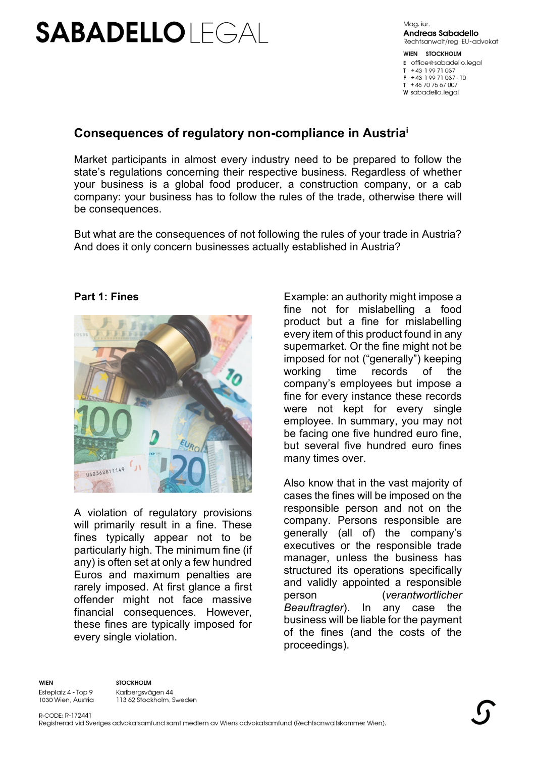# **SABADELLOIFGAI**

Maa, jur. **Andreas Sabadello** Rechtsanwalt/reg. EU-advokat

WIEN STOCKHOLM **E** office@sabadello.leaal  $T + 43$  19971037  $F + 43$  199 71 037 - 10  $T + 46707567007$ **W** sabadello.legal

## **Consequences of regulatory non-compliance in Austria<sup>i</sup>**

Market participants in almost every industry need to be prepared to follow the state's regulations concerning their respective business. Regardless of whether your business is a global food producer, a construction company, or a cab company: your business has to follow the rules of the trade, otherwise there will be consequences.

But what are the consequences of not following the rules of your trade in Austria? And does it only concern businesses actually established in Austria?

#### **Part 1: Fines**



A violation of regulatory provisions will primarily result in a fine. These fines typically appear not to be particularly high. The minimum fine (if any) is often set at only a few hundred Euros and maximum penalties are rarely imposed. At first glance a first offender might not face massive financial consequences. However, these fines are typically imposed for every single violation.

Example: an authority might impose a fine not for mislabelling a food product but a fine for mislabelling every item of this product found in any supermarket. Or the fine might not be imposed for not ("generally") keeping working time records of the company's employees but impose a fine for every instance these records were not kept for every single employee. In summary, you may not be facing one five hundred euro fine, but several five hundred euro fines many times over.

Also know that in the vast majority of cases the fines will be imposed on the responsible person and not on the company. Persons responsible are generally (all of) the company's executives or the responsible trade manager, unless the business has structured its operations specifically and validly appointed a responsible person (*verantwortlicher Beauftragter*). In any case the business will be liable for the payment of the fines (and the costs of the proceedings).

**WIEN** 

**STOCKHOLM** Esteplatz 4 - Top 9 Karlbergsvägen 44 1030 Wien, Austria 113 62 Stockholm, Sweden

R-CODE: R-172441 Registrerad vid Sveriges advokatsamfund samt medlem av Wiens advokatsamfund (Rechtsanwaltskammer Wien).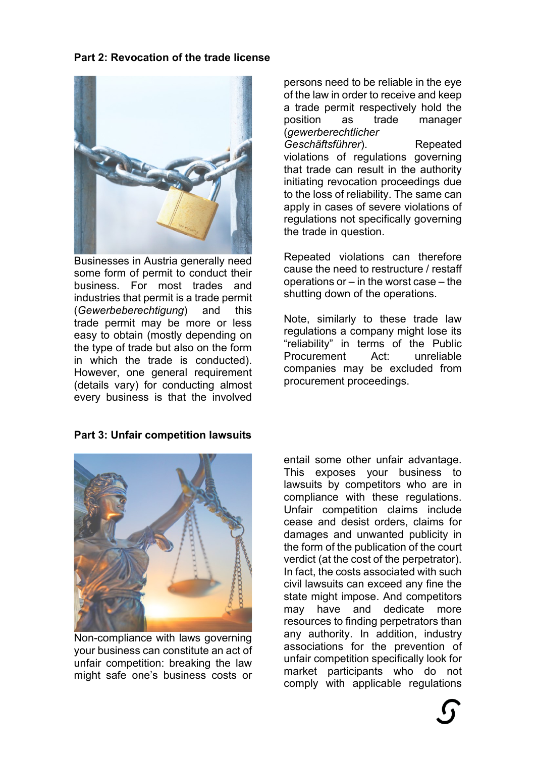## **Part 2: Revocation of the trade license**



Businesses in Austria generally need some form of permit to conduct their business. For most trades and industries that permit is a trade permit (*Gewerbeberechtigung*) and this trade permit may be more or less easy to obtain (mostly depending on the type of trade but also on the form in which the trade is conducted). However, one general requirement (details vary) for conducting almost every business is that the involved

## **Part 3: Unfair competition lawsuits**



Non-compliance with laws governing your business can constitute an act of unfair competition: breaking the law might safe one's business costs or

persons need to be reliable in the eye of the law in order to receive and keep a trade permit respectively hold the position as trade manager (*gewerberechtlicher Geschäftsführer*). Repeated violations of regulations governing that trade can result in the authority initiating revocation proceedings due to the loss of reliability. The same can apply in cases of severe violations of regulations not specifically governing the trade in question.

Repeated violations can therefore cause the need to restructure / restaff operations or – in the worst case – the shutting down of the operations.

Note, similarly to these trade law regulations a company might lose its "reliability" in terms of the Public Procurement Act: unreliable companies may be excluded from procurement proceedings.

entail some other unfair advantage. This exposes your business to lawsuits by competitors who are in compliance with these regulations. Unfair competition claims include cease and desist orders, claims for damages and unwanted publicity in the form of the publication of the court verdict (at the cost of the perpetrator). In fact, the costs associated with such civil lawsuits can exceed any fine the state might impose. And competitors may have and dedicate more resources to finding perpetrators than any authority. In addition, industry associations for the prevention of unfair competition specifically look for market participants who do not comply with applicable regulations